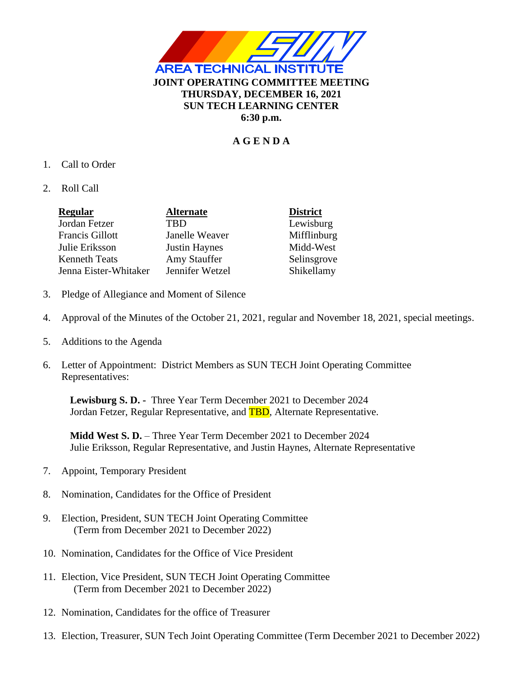

# **A G E N D A**

- 1. Call to Order
- 2. Roll Call

| <b>Regular</b>         | <b>Alternate</b>     | <b>District</b> |
|------------------------|----------------------|-----------------|
| Jordan Fetzer          | <b>TBD</b>           | Lewisburg       |
| <b>Francis Gillott</b> | Janelle Weaver       | Mifflinburg     |
| Julie Eriksson         | <b>Justin Haynes</b> | Midd-West       |
| <b>Kenneth Teats</b>   | Amy Stauffer         | Selinsgrove     |
| Jenna Eister-Whitaker  | Jennifer Wetzel      | Shikellamy      |

- 3. Pledge of Allegiance and Moment of Silence
- 4. Approval of the Minutes of the October 21, 2021, regular and November 18, 2021, special meetings.
- 5. Additions to the Agenda
- 6. Letter of Appointment: District Members as SUN TECH Joint Operating Committee Representatives:

**Lewisburg S. D. -** Three Year Term December 2021 to December 2024 Jordan Fetzer, Regular Representative, and **TBD**, Alternate Representative.

**Midd West S. D.** – Three Year Term December 2021 to December 2024 Julie Eriksson, Regular Representative, and Justin Haynes, Alternate Representative

- 7. Appoint, Temporary President
- 8. Nomination, Candidates for the Office of President
- 9. Election, President, SUN TECH Joint Operating Committee (Term from December 2021 to December 2022)
- 10. Nomination, Candidates for the Office of Vice President
- 11. Election, Vice President, SUN TECH Joint Operating Committee (Term from December 2021 to December 2022)
- 12. Nomination, Candidates for the office of Treasurer
- 13. Election, Treasurer, SUN Tech Joint Operating Committee (Term December 2021 to December 2022)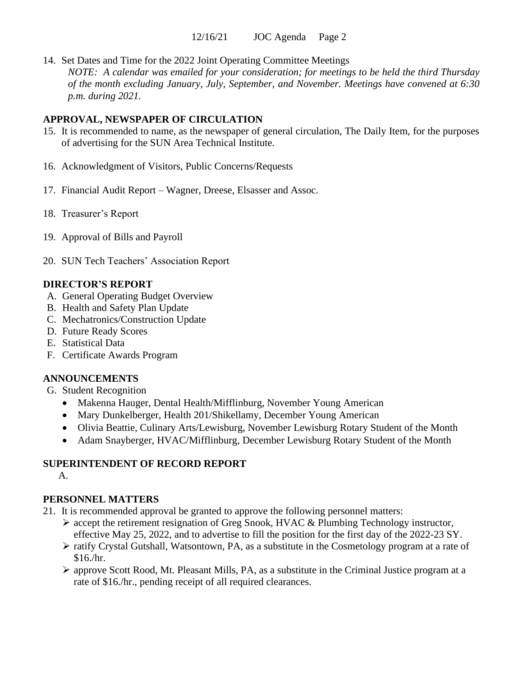14. Set Dates and Time for the 2022 Joint Operating Committee Meetings *NOTE: A calendar was emailed for your consideration; for meetings to be held the third Thursday of the month excluding January, July, September, and November. Meetings have convened at 6:30 p.m. during 2021.*

#### **APPROVAL, NEWSPAPER OF CIRCULATION**

- 15. It is recommended to name, as the newspaper of general circulation, The Daily Item, for the purposes of advertising for the SUN Area Technical Institute.
- 16. Acknowledgment of Visitors, Public Concerns/Requests
- 17. Financial Audit Report Wagner, Dreese, Elsasser and Assoc.
- 18. Treasurer's Report
- 19. Approval of Bills and Payroll
- 20. SUN Tech Teachers' Association Report

## **DIRECTOR'S REPORT**

- A. General Operating Budget Overview
- B. Health and Safety Plan Update
- C. Mechatronics/Construction Update
- D. Future Ready Scores
- E. Statistical Data
- F. Certificate Awards Program

## **ANNOUNCEMENTS**

- G. Student Recognition
	- Makenna Hauger, Dental Health/Mifflinburg, November Young American
	- Mary Dunkelberger, Health 201/Shikellamy, December Young American
	- Olivia Beattie, Culinary Arts/Lewisburg, November Lewisburg Rotary Student of the Month
	- Adam Snayberger, HVAC/Mifflinburg, December Lewisburg Rotary Student of the Month

# **SUPERINTENDENT OF RECORD REPORT**

A.

## **PERSONNEL MATTERS**

- 21. It is recommended approval be granted to approve the following personnel matters:
	- $\triangleright$  accept the retirement resignation of Greg Snook, HVAC & Plumbing Technology instructor, effective May 25, 2022, and to advertise to fill the position for the first day of the 2022-23 SY.
	- ➢ ratify Crystal Gutshall, Watsontown, PA, as a substitute in the Cosmetology program at a rate of \$16./hr.
	- $\triangleright$  approve Scott Rood, Mt. Pleasant Mills, PA, as a substitute in the Criminal Justice program at a rate of \$16./hr., pending receipt of all required clearances.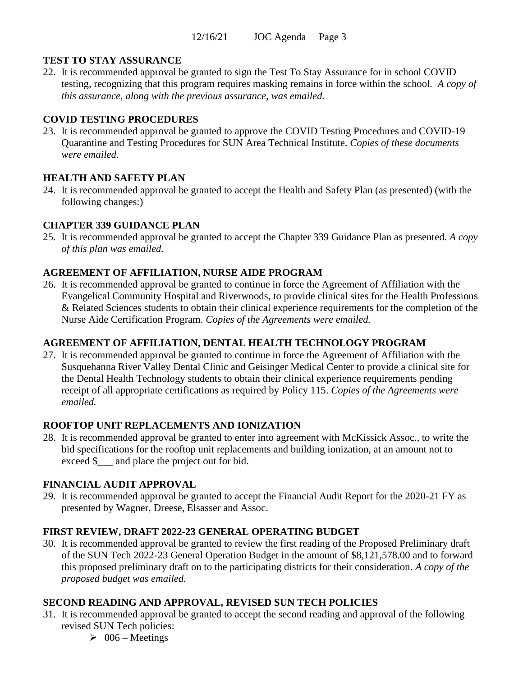## **TEST TO STAY ASSURANCE**

22. It is recommended approval be granted to sign the Test To Stay Assurance for in school COVID testing, recognizing that this program requires masking remains in force within the school. *A copy of this assurance, along with the previous assurance, was emailed.*

## **COVID TESTING PROCEDURES**

23. It is recommended approval be granted to approve the COVID Testing Procedures and COVID-19 Quarantine and Testing Procedures for SUN Area Technical Institute. *Copies of these documents were emailed.*

# **HEALTH AND SAFETY PLAN**

24. It is recommended approval be granted to accept the Health and Safety Plan (as presented) (with the following changes:)

## **CHAPTER 339 GUIDANCE PLAN**

25. It is recommended approval be granted to accept the Chapter 339 Guidance Plan as presented. *A copy of this plan was emailed.*

## **AGREEMENT OF AFFILIATION, NURSE AIDE PROGRAM**

26. It is recommended approval be granted to continue in force the Agreement of Affiliation with the Evangelical Community Hospital and Riverwoods, to provide clinical sites for the Health Professions & Related Sciences students to obtain their clinical experience requirements for the completion of the Nurse Aide Certification Program. *Copies of the Agreements were emailed.*

## **AGREEMENT OF AFFILIATION, DENTAL HEALTH TECHNOLOGY PROGRAM**

27. It is recommended approval be granted to continue in force the Agreement of Affiliation with the Susquehanna River Valley Dental Clinic and Geisinger Medical Center to provide a clinical site for the Dental Health Technology students to obtain their clinical experience requirements pending receipt of all appropriate certifications as required by Policy 115. *Copies of the Agreements were emailed.*

# **ROOFTOP UNIT REPLACEMENTS AND IONIZATION**

28. It is recommended approval be granted to enter into agreement with McKissick Assoc., to write the bid specifications for the rooftop unit replacements and building ionization, at an amount not to exceed \$ and place the project out for bid.

# **FINANCIAL AUDIT APPROVAL**

29. It is recommended approval be granted to accept the Financial Audit Report for the 2020-21 FY as presented by Wagner, Dreese, Elsasser and Assoc.

## **FIRST REVIEW, DRAFT 2022-23 GENERAL OPERATING BUDGET**

30. It is recommended approval be granted to review the first reading of the Proposed Preliminary draft of the SUN Tech 2022-23 General Operation Budget in the amount of \$8,121,578.00 and to forward this proposed preliminary draft on to the participating districts for their consideration. *A copy of the proposed budget was emailed.*

# **SECOND READING AND APPROVAL, REVISED SUN TECH POLICIES**

- 31. It is recommended approval be granted to accept the second reading and approval of the following revised SUN Tech policies:
	- $\geq 006$  Meetings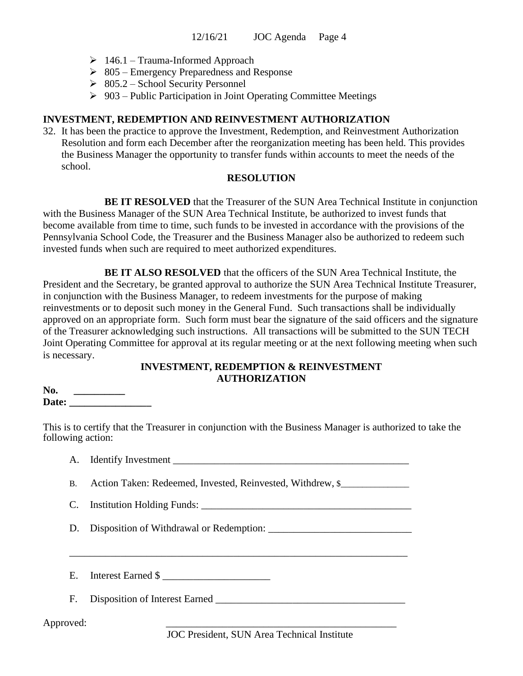- $\geq 146.1$  Trauma-Informed Approach
- $\geq 805$  Emergency Preparedness and Response
- $\geq 805.2$  School Security Personnel
- $\geq 903$  Public Participation in Joint Operating Committee Meetings

#### **INVESTMENT, REDEMPTION AND REINVESTMENT AUTHORIZATION**

32. It has been the practice to approve the Investment, Redemption, and Reinvestment Authorization Resolution and form each December after the reorganization meeting has been held. This provides the Business Manager the opportunity to transfer funds within accounts to meet the needs of the school.

#### **RESOLUTION**

**BE IT RESOLVED** that the Treasurer of the SUN Area Technical Institute in conjunction with the Business Manager of the SUN Area Technical Institute, be authorized to invest funds that become available from time to time, such funds to be invested in accordance with the provisions of the Pennsylvania School Code, the Treasurer and the Business Manager also be authorized to redeem such invested funds when such are required to meet authorized expenditures.

**BE IT ALSO RESOLVED** that the officers of the SUN Area Technical Institute, the President and the Secretary, be granted approval to authorize the SUN Area Technical Institute Treasurer, in conjunction with the Business Manager, to redeem investments for the purpose of making reinvestments or to deposit such money in the General Fund. Such transactions shall be individually approved on an appropriate form. Such form must bear the signature of the said officers and the signature of the Treasurer acknowledging such instructions. All transactions will be submitted to the SUN TECH Joint Operating Committee for approval at its regular meeting or at the next following meeting when such is necessary.

#### **INVESTMENT, REDEMPTION & REINVESTMENT AUTHORIZATION**

| No.   |  |
|-------|--|
| Date: |  |

This is to certify that the Treasurer in conjunction with the Business Manager is authorized to take the following action:

| A. Identify Investment |  |
|------------------------|--|
|                        |  |

B. Action Taken: Redeemed, Invested, Reinvested, Withdrew, \$\_\_\_\_\_\_\_\_\_\_\_\_\_\_\_\_\_\_\_\_

C. Institution Holding Funds: \_\_\_\_\_\_\_\_\_\_\_\_\_\_\_\_\_\_\_\_\_\_\_\_\_\_\_\_\_\_\_\_\_\_\_\_\_\_\_\_\_

D. Disposition of Withdrawal or Redemption: \_\_\_\_\_\_\_\_\_\_\_\_\_\_\_\_\_\_\_\_\_\_\_\_\_\_\_\_

E. Interest Earned \$

F. Disposition of Interest Earned \_\_\_\_\_\_\_\_\_\_\_\_\_\_\_\_\_\_\_\_\_\_\_\_\_\_\_\_\_\_\_\_\_\_\_\_\_

Approved: